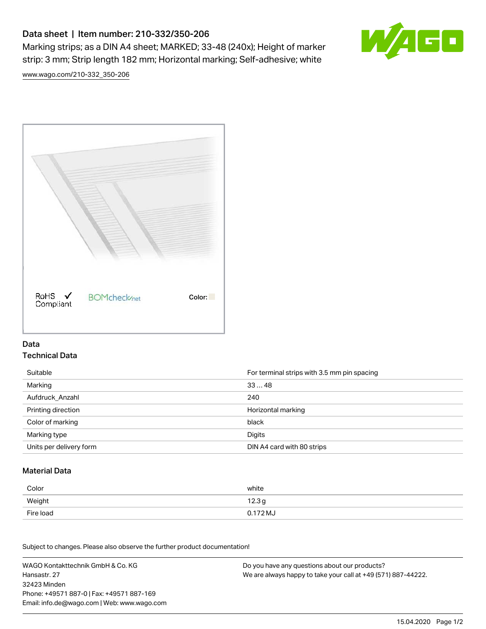# Data sheet | Item number: 210-332/350-206

Marking strips; as a DIN A4 sheet; MARKED; 33-48 (240x); Height of marker strip: 3 mm; Strip length 182 mm; Horizontal marking; Self-adhesive; white



[www.wago.com/210-332\\_350-206](http://www.wago.com/210-332_350-206)



### Data Technical Data

| Suitable                | For terminal strips with 3.5 mm pin spacing |
|-------------------------|---------------------------------------------|
| Marking                 | 3348                                        |
| Aufdruck Anzahl         | 240                                         |
| Printing direction      | Horizontal marking                          |
| Color of marking        | black                                       |
| Marking type            | Digits                                      |
| Units per delivery form | DIN A4 card with 80 strips                  |

#### Material Data

| Color     | white             |
|-----------|-------------------|
| Weight    | 12.3 <sub>g</sub> |
| Fire load | $0.172$ MJ        |

Subject to changes. Please also observe the further product documentation!

WAGO Kontakttechnik GmbH & Co. KG Hansastr. 27 32423 Minden Phone: +49571 887-0 | Fax: +49571 887-169 Email: info.de@wago.com | Web: www.wago.com Do you have any questions about our products? We are always happy to take your call at +49 (571) 887-44222.